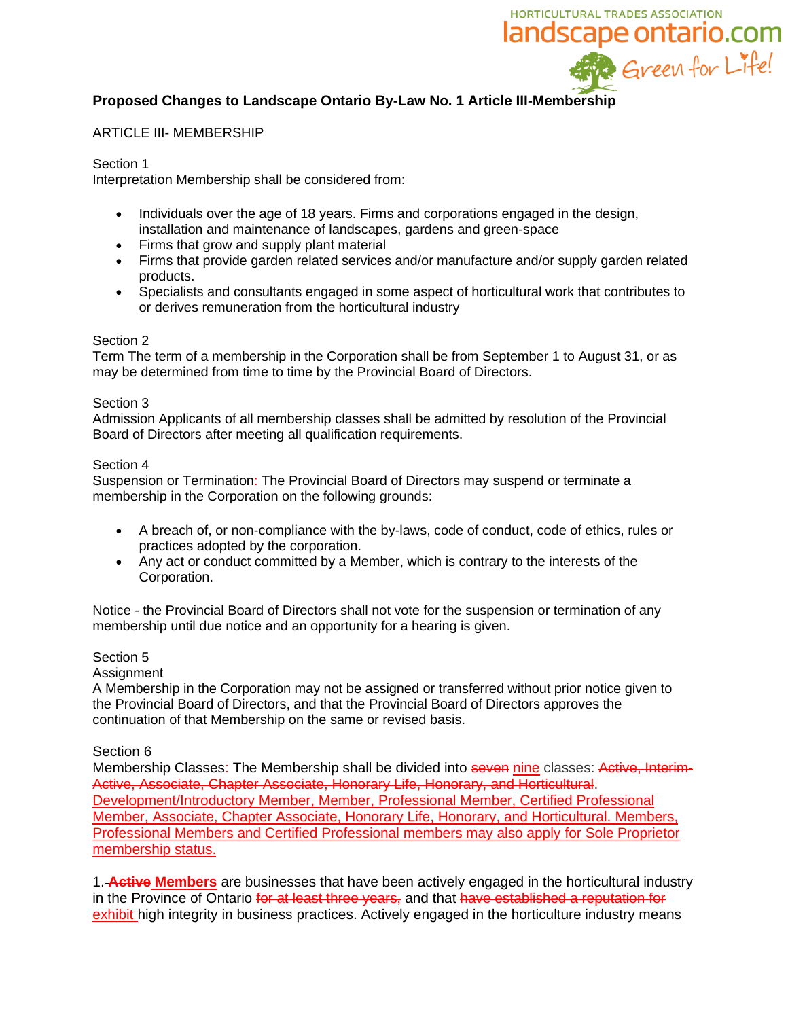

# **Proposed Changes to Landscape Ontario By-Law No. 1 Article III-Membership**

### ARTICLE III- MEMBERSHIP

## Section 1

Interpretation Membership shall be considered from:

- Individuals over the age of 18 years. Firms and corporations engaged in the design, installation and maintenance of landscapes, gardens and green-space
- Firms that grow and supply plant material
- Firms that provide garden related services and/or manufacture and/or supply garden related products.
- Specialists and consultants engaged in some aspect of horticultural work that contributes to or derives remuneration from the horticultural industry

## Section 2

Term The term of a membership in the Corporation shall be from September 1 to August 31, or as may be determined from time to time by the Provincial Board of Directors.

## Section 3

Admission Applicants of all membership classes shall be admitted by resolution of the Provincial Board of Directors after meeting all qualification requirements.

## Section 4

Suspension or Termination: The Provincial Board of Directors may suspend or terminate a membership in the Corporation on the following grounds:

- A breach of, or non-compliance with the by-laws, code of conduct, code of ethics, rules or practices adopted by the corporation.
- Any act or conduct committed by a Member, which is contrary to the interests of the Corporation.

Notice - the Provincial Board of Directors shall not vote for the suspension or termination of any membership until due notice and an opportunity for a hearing is given.

# Section 5

#### Assignment

A Membership in the Corporation may not be assigned or transferred without prior notice given to the Provincial Board of Directors, and that the Provincial Board of Directors approves the continuation of that Membership on the same or revised basis.

#### Section 6

Membership Classes: The Membership shall be divided into seven nine classes: Active, Interim-Active, Associate, Chapter Associate, Honorary Life, Honorary, and Horticultural. Development/Introductory Member, Member, Professional Member, Certified Professional Member, Associate, Chapter Associate, Honorary Life, Honorary, and Horticultural. Members, Professional Members and Certified Professional members may also apply for Sole Proprietor membership status.

1. **Active Members** are businesses that have been actively engaged in the horticultural industry in the Province of Ontario for at least three years, and that have established a reputation for exhibit high integrity in business practices. Actively engaged in the horticulture industry means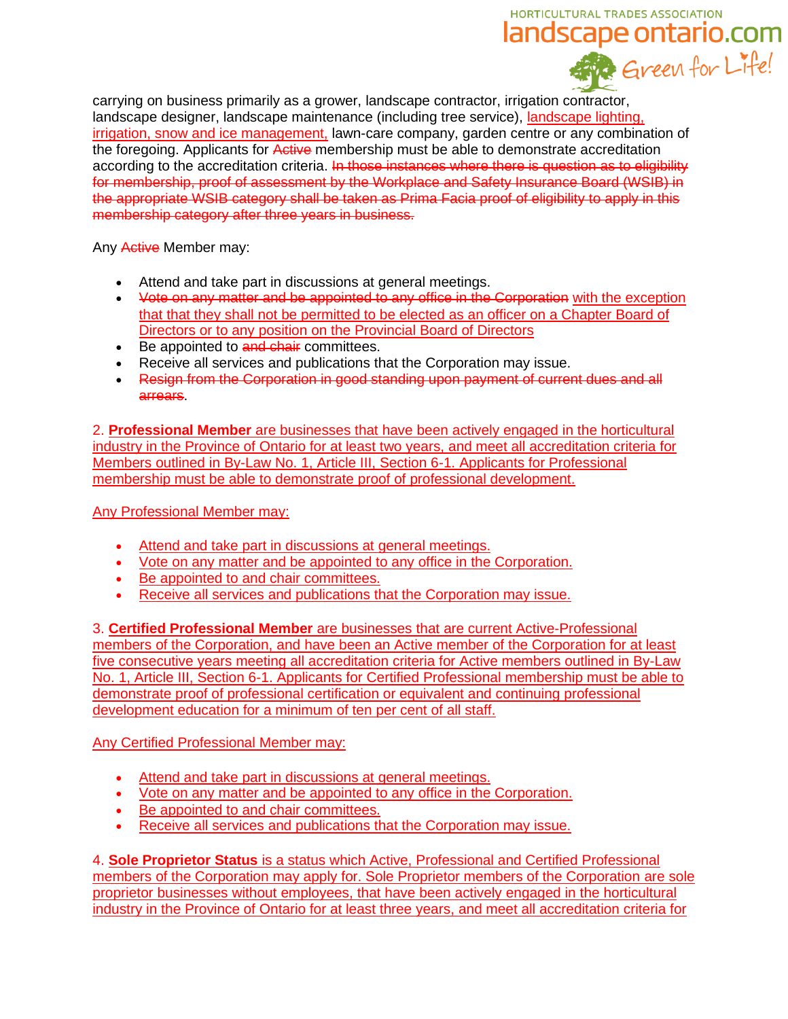# HORTICULTURAL TRADES ASSOCIATION landscape ontario.com

carrying on business primarily as a grower, landscape contractor, irrigation contractor, landscape designer, landscape maintenance (including tree service), landscape lighting, irrigation, snow and ice management, lawn-care company, garden centre or any combination of the foregoing. Applicants for Active membership must be able to demonstrate accreditation according to the accreditation criteria. In those instances where there is question as to eligibility for membership, proof of assessment by the Workplace and Safety Insurance Board (WSIB) in the appropriate WSIB category shall be taken as Prima Facia proof of eligibility to apply in this membership category after three years in business.

Any Active Member may:

- Attend and take part in discussions at general meetings.
- Vote on any matter and be appointed to any office in the Corporation with the exception that that they shall not be permitted to be elected as an officer on a Chapter Board of Directors or to any position on the Provincial Board of Directors
- Be appointed to and chair committees.
- Receive all services and publications that the Corporation may issue.
- Resign from the Corporation in good standing upon payment of current dues and all arrears.

2. **Professional Member** are businesses that have been actively engaged in the horticultural industry in the Province of Ontario for at least two years, and meet all accreditation criteria for Members outlined in By-Law No. 1, Article III, Section 6-1. Applicants for Professional membership must be able to demonstrate proof of professional development.

Any Professional Member may:

- Attend and take part in discussions at general meetings.
- Vote on any matter and be appointed to any office in the Corporation.
- Be appointed to and chair committees.
- Receive all services and publications that the Corporation may issue.

3. **Certified Professional Member** are businesses that are current Active-Professional members of the Corporation, and have been an Active member of the Corporation for at least five consecutive years meeting all accreditation criteria for Active members outlined in By-Law No. 1, Article III, Section 6-1. Applicants for Certified Professional membership must be able to demonstrate proof of professional certification or equivalent and continuing professional development education for a minimum of ten per cent of all staff.

# Any Certified Professional Member may:

- Attend and take part in discussions at general meetings.
- Vote on any matter and be appointed to any office in the Corporation.
- Be appointed to and chair committees.
- Receive all services and publications that the Corporation may issue.

4. **Sole Proprietor Status** is a status which Active, Professional and Certified Professional members of the Corporation may apply for. Sole Proprietor members of the Corporation are sole proprietor businesses without employees, that have been actively engaged in the horticultural industry in the Province of Ontario for at least three years, and meet all accreditation criteria for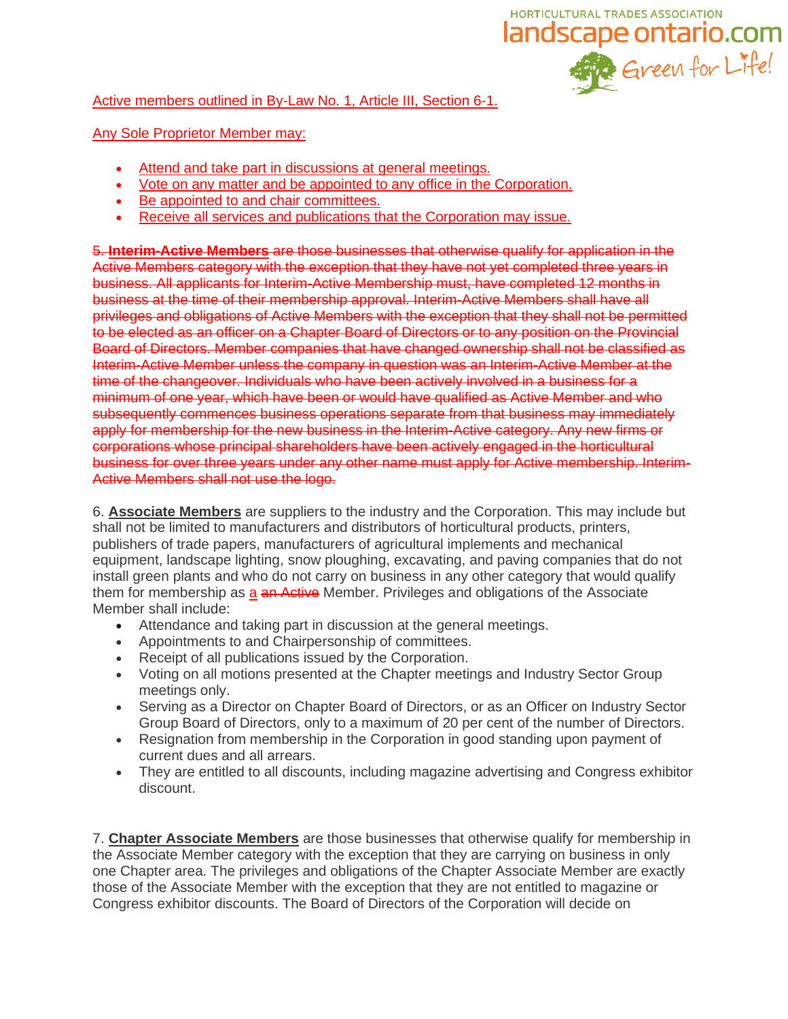

# Active members outlined in By-Law No. 1, Article III, Section 6-1.

# Any Sole Proprietor Member may:

- Attend and take part in discussions at general meetings.
- Vote on any matter and be appointed to any office in the Corporation.
- Be appointed to and chair committees.
- Receive all services and publications that the Corporation may issue.

5. **Interim-Active Members** are those businesses that otherwise qualify for application in the Active Members category with the exception that they have not yet completed three years in business. All applicants for Interim-Active Membership must, have completed 12 months in business at the time of their membership approval. Interim-Active Members shall have all privileges and obligations of Active Members with the exception that they shall not be permitted to be elected as an officer on a Chapter Board of Directors or to any position on the Provincial Board of Directors. Member companies that have changed ownership shall not be classified as Interim-Active Member unless the company in question was an Interim-Active Member at the time of the changeover. Individuals who have been actively involved in a business for a minimum of one year, which have been or would have qualified as Active Member and who subsequently commences business operations separate from that business may immediately apply for membership for the new business in the Interim-Active category. Any new firms or corporations whose principal shareholders have been actively engaged in the horticultural business for over three years under any other name must apply for Active membership. Interim-Active Members shall not use the logo.

6. **Associate Members** are suppliers to the industry and the Corporation. This may include but shall not be limited to manufacturers and distributors of horticultural products, printers, publishers of trade papers, manufacturers of agricultural implements and mechanical equipment, landscape lighting, snow ploughing, excavating, and paving companies that do not install green plants and who do not carry on business in any other category that would qualify them for membership as a an Active Member. Privileges and obligations of the Associate Member shall include:

- Attendance and taking part in discussion at the general meetings.
- Appointments to and Chairpersonship of committees.
- Receipt of all publications issued by the Corporation.
- Voting on all motions presented at the Chapter meetings and Industry Sector Group meetings only.
- Serving as a Director on Chapter Board of Directors, or as an Officer on Industry Sector Group Board of Directors, only to a maximum of 20 per cent of the number of Directors.
- Resignation from membership in the Corporation in good standing upon payment of current dues and all arrears.
- They are entitled to all discounts, including magazine advertising and Congress exhibitor discount.

7. **Chapter Associate Members** are those businesses that otherwise qualify for membership in the Associate Member category with the exception that they are carrying on business in only one Chapter area. The privileges and obligations of the Chapter Associate Member are exactly those of the Associate Member with the exception that they are not entitled to magazine or Congress exhibitor discounts. The Board of Directors of the Corporation will decide on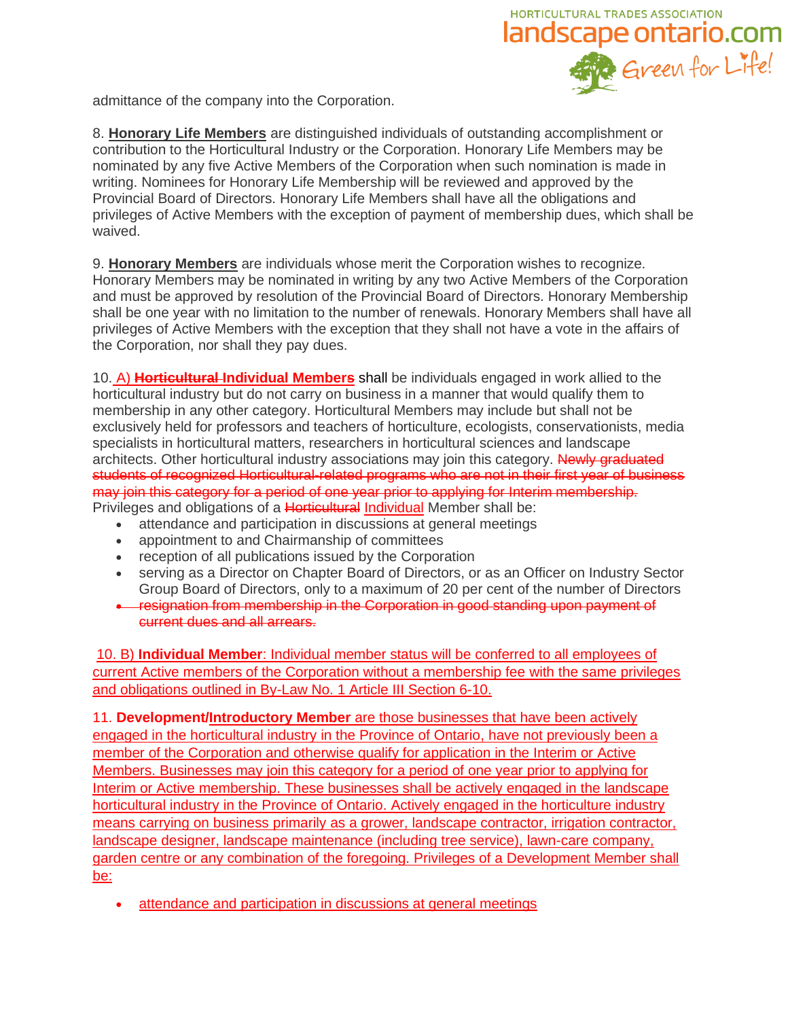

admittance of the company into the Corporation.

8. **Honorary Life Members** are distinguished individuals of outstanding accomplishment or contribution to the Horticultural Industry or the Corporation. Honorary Life Members may be nominated by any five Active Members of the Corporation when such nomination is made in writing. Nominees for Honorary Life Membership will be reviewed and approved by the Provincial Board of Directors. Honorary Life Members shall have all the obligations and privileges of Active Members with the exception of payment of membership dues, which shall be waived.

9. **Honorary Members** are individuals whose merit the Corporation wishes to recognize. Honorary Members may be nominated in writing by any two Active Members of the Corporation and must be approved by resolution of the Provincial Board of Directors. Honorary Membership shall be one year with no limitation to the number of renewals. Honorary Members shall have all privileges of Active Members with the exception that they shall not have a vote in the affairs of the Corporation, nor shall they pay dues.

10. A) **Horticultural Individual Members** shall be individuals engaged in work allied to the horticultural industry but do not carry on business in a manner that would qualify them to membership in any other category. Horticultural Members may include but shall not be exclusively held for professors and teachers of horticulture, ecologists, conservationists, media specialists in horticultural matters, researchers in horticultural sciences and landscape architects. Other horticultural industry associations may join this category. Newly graduated students of recognized Horticultural-related programs who are not in their first year of business may join this category for a period of one year prior to applying for Interim membership. Privileges and obligations of a Horticultural Individual Member shall be:

- attendance and participation in discussions at general meetings
- appointment to and Chairmanship of committees
- reception of all publications issued by the Corporation
- serving as a Director on Chapter Board of Directors, or as an Officer on Industry Sector Group Board of Directors, only to a maximum of 20 per cent of the number of Directors
- resignation from membership in the Corporation in good standing upon payment of current dues and all arrears.

10. B) **Individual Member**: Individual member status will be conferred to all employees of current Active members of the Corporation without a membership fee with the same privileges and obligations outlined in By-Law No. 1 Article III Section 6-10.

11. **Development/Introductory Member** are those businesses that have been actively engaged in the horticultural industry in the Province of Ontario, have not previously been a member of the Corporation and otherwise qualify for application in the Interim or Active Members. Businesses may join this category for a period of one year prior to applying for Interim or Active membership. These businesses shall be actively engaged in the landscape horticultural industry in the Province of Ontario. Actively engaged in the horticulture industry means carrying on business primarily as a grower, landscape contractor, irrigation contractor, landscape designer, landscape maintenance (including tree service), lawn-care company, garden centre or any combination of the foregoing. Privileges of a Development Member shall be:

• attendance and participation in discussions at general meetings